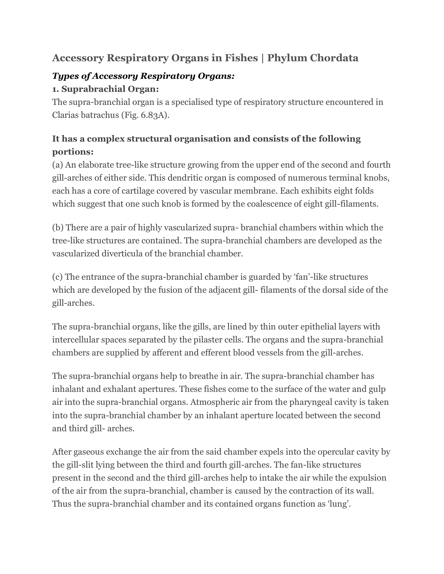# **Accessory Respiratory Organs in Fishes | Phylum Chordata**

# *Types of Accessory Respiratory Organs:*

## **1. Suprabrachial Organ:**

The supra-branchial organ is a specialised type of respiratory structure encountered in Clarias batrachus (Fig. 6.83A).

## **It has a complex structural organisation and consists of the following portions:**

(a) An elaborate tree-like structure growing from the upper end of the second and fourth gill-arches of either side. This dendritic organ is composed of numerous terminal knobs, each has a core of cartilage covered by vascular membrane. Each exhibits eight folds which suggest that one such knob is formed by the coalescence of eight gill-filaments.

(b) There are a pair of highly vascularized supra- branchial chambers within which the tree-like structures are contained. The supra-branchial chambers are developed as the vascularized diverticula of the branchial chamber.

(c) The entrance of the supra-branchial chamber is guarded by 'fan'-like structures which are developed by the fusion of the adjacent gill- filaments of the dorsal side of the gill-arches.

The supra-branchial organs, like the gills, are lined by thin outer epithelial layers with intercellular spaces separated by the pilaster cells. The organs and the supra-branchial chambers are supplied by afferent and efferent blood vessels from the gill-arches.

The supra-branchial organs help to breathe in air. The supra-branchial chamber has inhalant and exhalant apertures. These fishes come to the surface of the water and gulp air into the supra-branchial organs. Atmospheric air from the pharyngeal cavity is taken into the supra-branchial chamber by an inhalant aperture located between the second and third gill- arches.

After gaseous exchange the air from the said chamber expels into the opercular cavity by the gill-slit lying between the third and fourth gill-arches. The fan-like structures present in the second and the third gill-arches help to intake the air while the expulsion of the air from the supra-branchial, chamber is caused by the contraction of its wall. Thus the supra-branchial chamber and its contained organs function as 'lung'.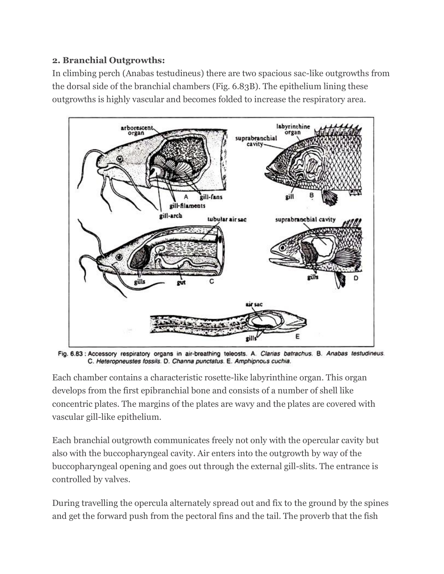### **2. Branchial Outgrowths:**

In climbing perch (Anabas testudineus) there are two spacious sac-like outgrowths from the dorsal side of the branchial chambers (Fig. 6.83B). The epithelium lining these outgrowths is highly vascular and becomes folded to increase the respiratory area.



Fig. 6.83 : Accessory respiratory organs in air-breathing teleosts. A. Clarias batrachus. B. Anabas testudineus. C. Heteropneustes fossils. D. Channa punctatus. E. Amphipnous cuchia.

Each chamber contains a characteristic rosette-like labyrinthine organ. This organ develops from the first epibranchial bone and consists of a number of shell like concentric plates. The margins of the plates are wavy and the plates are covered with vascular gill-like epithelium.

Each branchial outgrowth communicates freely not only with the opercular cavity but also with the buccopharyngeal cavity. Air enters into the outgrowth by way of the buccopharyngeal opening and goes out through the external gill-slits. The entrance is controlled by valves.

During travelling the opercula alternately spread out and fix to the ground by the spines and get the forward push from the pectoral fins and the tail. The proverb that the fish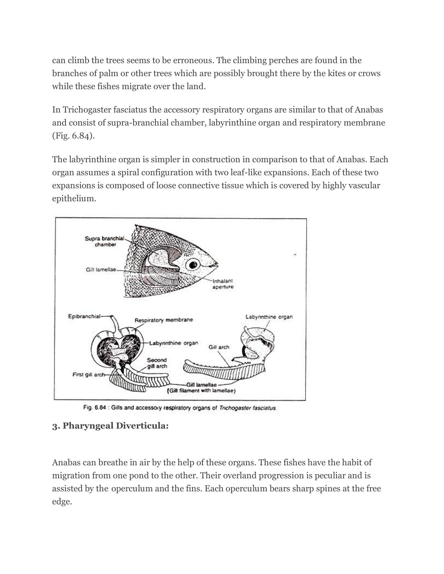can climb the trees seems to be erroneous. The climbing perches are found in the branches of palm or other trees which are possibly brought there by the kites or crows while these fishes migrate over the land.

In Trichogaster fasciatus the accessory respiratory organs are similar to that of Anabas and consist of supra-branchial chamber, labyrinthine organ and respiratory membrane (Fig. 6.84).

The labyrinthine organ is simpler in construction in comparison to that of Anabas. Each organ assumes a spiral configuration with two leaf-like expansions. Each of these two expansions is composed of loose connective tissue which is covered by highly vascular epithelium.



Fig. 6.84 : Gills and accessory respiratory organs of Trichogaster fasciatus.

### **3. Pharyngeal Diverticula:**

Anabas can breathe in air by the help of these organs. These fishes have the habit of migration from one pond to the other. Their overland progression is peculiar and is assisted by the operculum and the fins. Each operculum bears sharp spines at the free edge.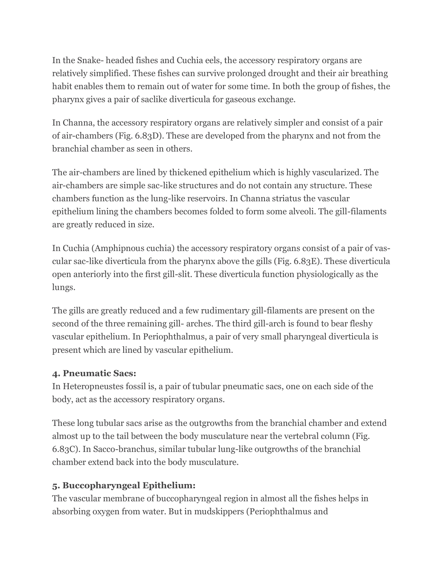In the Snake- headed fishes and Cuchia eels, the accessory respiratory organs are relatively simplified. These fishes can survive prolonged drought and their air breathing habit enables them to remain out of water for some time. In both the group of fishes, the pharynx gives a pair of saclike diverticula for gaseous exchange.

In Channa, the accessory respiratory organs are relatively simpler and consist of a pair of air-chambers (Fig. 6.83D). These are developed from the pharynx and not from the branchial chamber as seen in others.

The air-chambers are lined by thickened epithelium which is highly vascularized. The air-chambers are simple sac-like structures and do not contain any structure. These chambers function as the lung-like reservoirs. In Channa striatus the vascular epithelium lining the chambers becomes folded to form some alveoli. The gill-filaments are greatly reduced in size.

In Cuchia (Amphipnous cuchia) the accessory respiratory organs consist of a pair of vascular sac-like diverticula from the pharynx above the gills (Fig. 6.83E). These diverticula open anteriorly into the first gill-slit. These diverticula function physiologically as the lungs.

The gills are greatly reduced and a few rudimentary gill-filaments are present on the second of the three remaining gill- arches. The third gill-arch is found to bear fleshy vascular epithelium. In Periophthalmus, a pair of very small pharyngeal diverticula is present which are lined by vascular epithelium.

#### **4. Pneumatic Sacs:**

In Heteropneustes fossil is, a pair of tubular pneumatic sacs, one on each side of the body, act as the accessory respiratory organs.

These long tubular sacs arise as the outgrowths from the branchial chamber and extend almost up to the tail between the body musculature near the vertebral column (Fig. 6.83C). In Sacco-branchus, similar tubular lung-like outgrowths of the branchial chamber extend back into the body musculature.

## **5. Buccopharyngeal Epithelium:**

The vascular membrane of buccopharyngeal region in almost all the fishes helps in absorbing oxygen from water. But in mudskippers (Periophthalmus and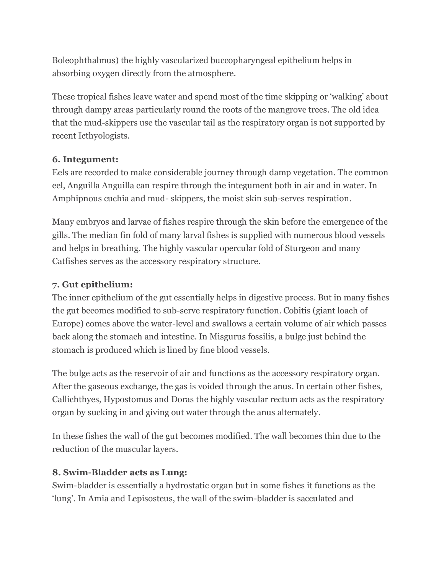Boleophthalmus) the highly vascularized buccopharyngeal epithelium helps in absorbing oxygen directly from the atmosphere.

These tropical fishes leave water and spend most of the time skipping or 'walking' about through dampy areas particularly round the roots of the mangrove trees. The old idea that the mud-skippers use the vascular tail as the respiratory organ is not supported by recent Icthyologists.

#### **6. Integument:**

Eels are recorded to make considerable journey through damp vegetation. The common eel, Anguilla Anguilla can respire through the integument both in air and in water. In Amphipnous cuchia and mud- skippers, the moist skin sub-serves respiration.

Many embryos and larvae of fishes respire through the skin before the emergence of the gills. The median fin fold of many larval fishes is supplied with numerous blood vessels and helps in breathing. The highly vascular opercular fold of Sturgeon and many Catfishes serves as the accessory respiratory structure.

#### **7. Gut epithelium:**

The inner epithelium of the gut essentially helps in digestive process. But in many fishes the gut becomes modified to sub-serve respiratory function. Cobitis (giant loach of Europe) comes above the water-level and swallows a certain volume of air which passes back along the stomach and intestine. In Misgurus fossilis, a bulge just behind the stomach is produced which is lined by fine blood vessels.

The bulge acts as the reservoir of air and functions as the accessory respiratory organ. After the gaseous exchange, the gas is voided through the anus. In certain other fishes, Callichthyes, Hypostomus and Doras the highly vascular rectum acts as the respiratory organ by sucking in and giving out water through the anus alternately.

In these fishes the wall of the gut becomes modified. The wall becomes thin due to the reduction of the muscular layers.

#### **8. Swim-Bladder acts as Lung:**

Swim-bladder is essentially a hydrostatic organ but in some fishes it functions as the 'lung'. In Amia and Lepisosteus, the wall of the swim-bladder is sacculated and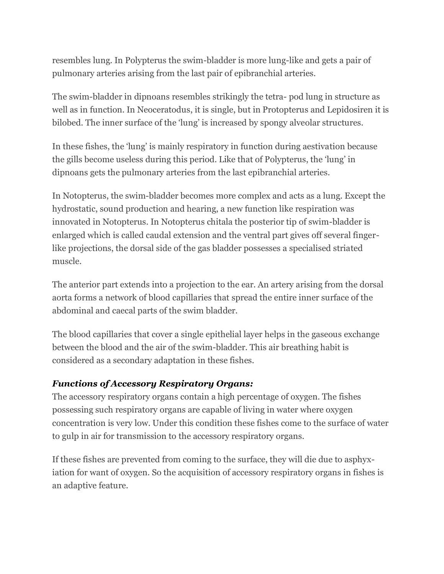resembles lung. In Polypterus the swim-bladder is more lung-like and gets a pair of pulmonary arteries arising from the last pair of epibranchial arteries.

The swim-bladder in dipnoans resembles strikingly the tetra- pod lung in structure as well as in function. In Neoceratodus, it is single, but in Protopterus and Lepidosiren it is bilobed. The inner surface of the 'lung' is increased by spongy alveolar structures.

In these fishes, the 'lung' is mainly respiratory in function during aestivation because the gills become useless during this period. Like that of Polypterus, the 'lung' in dipnoans gets the pulmonary arteries from the last epibranchial arteries.

In Notopterus, the swim-bladder becomes more complex and acts as a lung. Except the hydrostatic, sound production and hearing, a new function like respiration was innovated in Notopterus. In Notopterus chitala the posterior tip of swim-bladder is enlarged which is called caudal extension and the ventral part gives off several fingerlike projections, the dorsal side of the gas bladder possesses a specialised striated muscle.

The anterior part extends into a projection to the ear. An artery arising from the dorsal aorta forms a network of blood capillaries that spread the entire inner surface of the abdominal and caecal parts of the swim bladder.

The blood capillaries that cover a single epithelial layer helps in the gaseous exchange between the blood and the air of the swim-bladder. This air breathing habit is considered as a secondary adaptation in these fishes.

#### *Functions of Accessory Respiratory Organs:*

The accessory respiratory organs contain a high percentage of oxygen. The fishes possessing such respiratory organs are capable of living in water where oxygen concentration is very low. Under this condition these fishes come to the surface of water to gulp in air for transmission to the accessory respiratory organs.

If these fishes are prevented from coming to the surface, they will die due to asphyxiation for want of oxygen. So the acquisition of accessory respiratory organs in fishes is an adaptive feature.